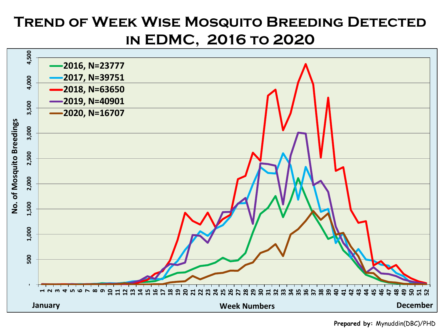## **Trend of Week Wise Mosquito Breeding Detected in EDMC, 2016 to 2020**



**Prepared by:** Mynuddin(DBC)/PHD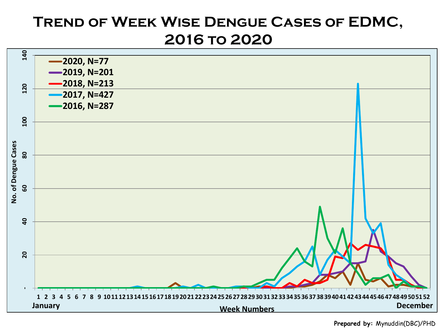## **Trend of Week Wise Dengue Cases of EDMC, 2016 to 2020**



**Prepared by:** Mynuddin(DBC)/PHD